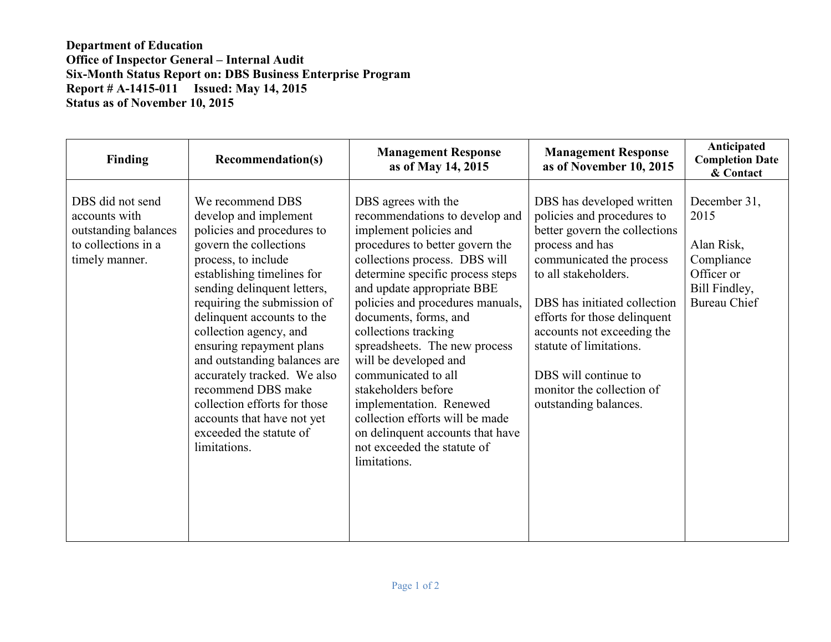## **Department of Education Office of Inspector General – Internal Audit Six-Month Status Report on: DBS Business Enterprise Program Report # A-1415-011 Issued: May 14, 2015 Status as of November 10, 2015**

| Finding                                                                                            | <b>Recommendation(s)</b>                                                                                                                                                                                                                                                                                                                                                                                                                                                                               | <b>Management Response</b><br>as of May 14, 2015                                                                                                                                                                                                                                                                                                                                                                                                                                                                                                                    | <b>Management Response</b><br>as of November 10, 2015                                                                                                                                                                                                                                                                                                                  | Anticipated<br><b>Completion Date</b><br>& Contact                                                     |
|----------------------------------------------------------------------------------------------------|--------------------------------------------------------------------------------------------------------------------------------------------------------------------------------------------------------------------------------------------------------------------------------------------------------------------------------------------------------------------------------------------------------------------------------------------------------------------------------------------------------|---------------------------------------------------------------------------------------------------------------------------------------------------------------------------------------------------------------------------------------------------------------------------------------------------------------------------------------------------------------------------------------------------------------------------------------------------------------------------------------------------------------------------------------------------------------------|------------------------------------------------------------------------------------------------------------------------------------------------------------------------------------------------------------------------------------------------------------------------------------------------------------------------------------------------------------------------|--------------------------------------------------------------------------------------------------------|
| DBS did not send<br>accounts with<br>outstanding balances<br>to collections in a<br>timely manner. | We recommend DBS<br>develop and implement<br>policies and procedures to<br>govern the collections<br>process, to include<br>establishing timelines for<br>sending delinquent letters,<br>requiring the submission of<br>delinquent accounts to the<br>collection agency, and<br>ensuring repayment plans<br>and outstanding balances are<br>accurately tracked. We also<br>recommend DBS make<br>collection efforts for those<br>accounts that have not yet<br>exceeded the statute of<br>limitations. | DBS agrees with the<br>recommendations to develop and<br>implement policies and<br>procedures to better govern the<br>collections process. DBS will<br>determine specific process steps<br>and update appropriate BBE<br>policies and procedures manuals,<br>documents, forms, and<br>collections tracking<br>spreadsheets. The new process<br>will be developed and<br>communicated to all<br>stakeholders before<br>implementation. Renewed<br>collection efforts will be made<br>on delinquent accounts that have<br>not exceeded the statute of<br>limitations. | DBS has developed written<br>policies and procedures to<br>better govern the collections<br>process and has<br>communicated the process<br>to all stakeholders.<br>DBS has initiated collection<br>efforts for those delinquent<br>accounts not exceeding the<br>statute of limitations.<br>DBS will continue to<br>monitor the collection of<br>outstanding balances. | December 31,<br>2015<br>Alan Risk,<br>Compliance<br>Officer or<br>Bill Findley,<br><b>Bureau Chief</b> |